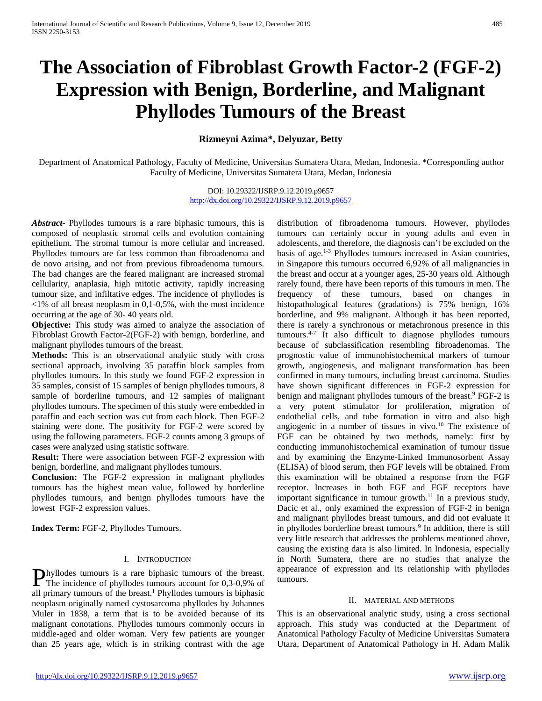# **The Association of Fibroblast Growth Factor-2 (FGF-2) Expression with Benign, Borderline, and Malignant Phyllodes Tumours of the Breast**

## **Rizmeyni Azima\*, Delyuzar, Betty**

Department of Anatomical Pathology, Faculty of Medicine, Universitas Sumatera Utara, Medan, Indonesia. \*Corresponding author Faculty of Medicine, Universitas Sumatera Utara, Medan, Indonesia

> DOI: 10.29322/IJSRP.9.12.2019.p9657 <http://dx.doi.org/10.29322/IJSRP.9.12.2019.p9657>

*Abstract***-** Phyllodes tumours is a rare biphasic tumours, this is composed of neoplastic stromal cells and evolution containing epithelium. The stromal tumour is more cellular and increased. Phyllodes tumours are far less common than fibroadenoma and de novo arising, and not from previous fibroadenoma tumours. The bad changes are the feared malignant are increased stromal cellularity, anaplasia, high mitotic activity, rapidly increasing tumour size, and infiltative edges. The incidence of phyllodes is  $\langle 1\%$  of all breast neoplasm in 0,1-0,5%, with the most incidence occurring at the age of 30- 40 years old.

**Objective:** This study was aimed to analyze the association of Fibroblast Growth Factor-2(FGF-2) with benign, borderline, and malignant phyllodes tumours of the breast.

**Methods:** This is an observational analytic study with cross sectional approach, involving 35 paraffin block samples from phyllodes tumours. In this study we found FGF-2 expression in 35 samples, consist of 15 samples of benign phyllodes tumours, 8 sample of borderline tumours, and 12 samples of malignant phyllodes tumours. The specimen of this study were embedded in paraffin and each section was cut from each block. Then FGF-2 staining were done. The positivity for FGF-2 were scored by using the following parameters. FGF-2 counts among 3 groups of cases were analyzed using statistic software.

**Result:** There were association between FGF-2 expression with benign, borderline, and malignant phyllodes tumours.

**Conclusion:** The FGF-2 expression in malignant phyllodes tumours has the highest mean value, followed by borderline phyllodes tumours, and benign phyllodes tumours have the lowest FGF-2 expression values.

**Index Term:** FGF-2, Phyllodes Tumours.

## I. INTRODUCTION

hyllodes tumours is a rare biphasic tumours of the breast. **Phyllodes tumours is a rare biphasic tumours of the breast.**<br>The incidence of phyllodes tumours account for 0,3-0,9% of all primary tumours of the breast.<sup>1</sup> Phyllodes tumours is biphasic neoplasm originally named cystosarcoma phyllodes by Johannes Muler in 1838, a term that is to be avoided because of its malignant conotations. Phyllodes tumours commonly occurs in middle-aged and older woman. Very few patients are younger than 25 years age, which is in striking contrast with the age

distribution of fibroadenoma tumours. However, phyllodes tumours can certainly occur in young adults and even in adolescents, and therefore, the diagnosis can't be excluded on the basis of age.1-3 Phyllodes tumours increased in Asian countries, in Singapore this tumours occurred 6,92% of all malignancies in the breast and occur at a younger ages, 25-30 years old. Although rarely found, there have been reports of this tumours in men. The frequency of these tumours, based on changes in histopathological features (gradations) is 75% benign, 16% borderline, and 9% malignant. Although it has been reported, there is rarely a synchronous or metachronous presence in this tumours.4-7 It also difficult to diagnose phyllodes tumours because of subclassification resembling fibroadenomas. The prognostic value of immunohistochemical markers of tumour growth, angiogenesis, and malignant transformation has been confirmed in many tumours, including breast carcinoma. Studies have shown significant differences in FGF-2 expression for benign and malignant phyllodes tumours of the breast.<sup>9</sup> FGF-2 is a very potent stimulator for proliferation, migration of endothelial cells, and tube formation in vitro and also high angiogenic in a number of tissues in vivo.<sup>10</sup> The existence of FGF can be obtained by two methods, namely: first by conducting immunohistochemical examination of tumour tissue and by examining the Enzyme-Linked Immunosorbent Assay (ELISA) of blood serum, then FGF levels will be obtained. From this examination will be obtained a response from the FGF receptor. Increases in both FGF and FGF receptors have important significance in tumour growth.<sup>11</sup> In a previous study, Dacic et al., only examined the expression of FGF-2 in benign and malignant phyllodes breast tumours, and did not evaluate it in phyllodes borderline breast tumours.<sup>9</sup> In addition, there is still very little research that addresses the problems mentioned above, causing the existing data is also limited. In Indonesia, especially in North Sumatera, there are no studies that analyze the appearance of expression and its relationship with phyllodes tumours.

#### II. MATERIAL AND METHODS

This is an observational analytic study, using a cross sectional approach. This study was conducted at the Department of Anatomical Pathology Faculty of Medicine Universitas Sumatera Utara, Department of Anatomical Pathology in H. Adam Malik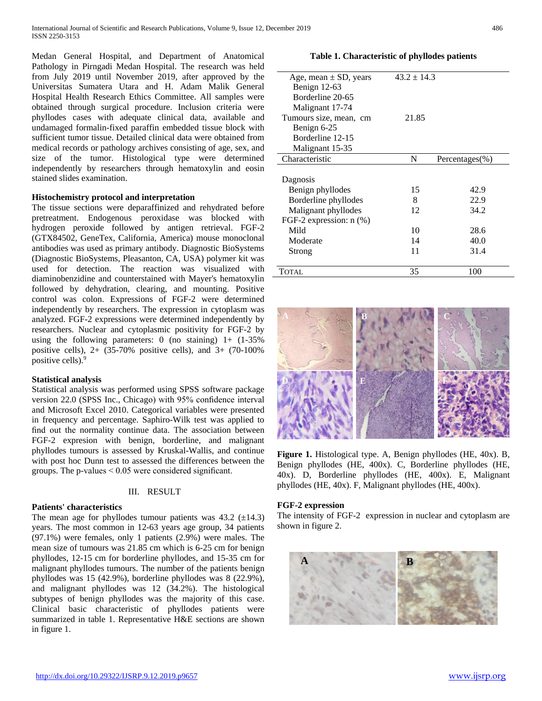Medan General Hospital, and Department of Anatomical Pathology in Pirngadi Medan Hospital. The research was held from July 2019 until November 2019, after approved by the Universitas Sumatera Utara and H. Adam Malik General Hospital Health Research Ethics Committee. All samples were obtained through surgical procedure. Inclusion criteria were phyllodes cases with adequate clinical data, available and undamaged formalin-fixed paraffin embedded tissue block with sufficient tumor tissue. Detailed clinical data were obtained from medical records or pathology archives consisting of age, sex, and size of the tumor. Histological type were determined independently by researchers through hematoxylin and eosin stained slides examination.

## **Histochemistry protocol and interpretation**

The tissue sections were deparaffinized and rehydrated before pretreatment. Endogenous peroxidase was blocked with hydrogen peroxide followed by antigen retrieval. FGF-2 (GTX84502, GeneTex, California, America) mouse monoclonal antibodies was used as primary antibody. Diagnostic BioSystems (Diagnostic BioSystems, Pleasanton, CA, USA) polymer kit was used for detection. The reaction was visualized with diaminobenzidine and counterstained with Mayer's hematoxylin followed by dehydration, clearing, and mounting. Positive control was colon. Expressions of FGF-2 were determined independently by researchers. The expression in cytoplasm was analyzed. FGF-2 expressions were determined independently by researchers. Nuclear and cytoplasmic positivity for FGF-2 by using the following parameters: 0 (no staining)  $1+$  (1-35%) positive cells), 2+ (35-70% positive cells), and 3+ (70-100% positive cells).<sup>9</sup>

## **Statistical analysis**

Statistical analysis was performed using SPSS software package version 22.0 (SPSS Inc., Chicago) with 95% confidence interval and Microsoft Excel 2010. Categorical variables were presented in frequency and percentage. Saphiro-Wilk test was applied to find out the normality continue data. The association between FGF-2 expresion with benign, borderline, and malignant phyllodes tumours is assessed by Kruskal-Wallis, and continue with post hoc Dunn test to assessed the differences between the groups. The p-values < 0.05 were considered significant.

## III. RESULT

## **Patients' characteristics**

The mean age for phyllodes tumour patients was  $43.2 \pm 14.3$ ) years. The most common in 12-63 years age group, 34 patients (97.1%) were females, only 1 patients (2.9%) were males. The mean size of tumours was 21.85 cm which is 6-25 cm for benign phyllodes, 12-15 cm for borderline phyllodes, and 15-35 cm for malignant phyllodes tumours. The number of the patients benign phyllodes was 15 (42.9%), borderline phyllodes was 8 (22.9%), and malignant phyllodes was 12 (34.2%). The histological subtypes of benign phyllodes was the majority of this case. Clinical basic characteristic of phyllodes patients were summarized in table 1. Representative H&E sections are shown in figure 1.

## **Table 1. Characteristic of phyllodes patients**

| Age, mean $\pm$ SD, years<br>Benign 12-63 | $43.2 \pm 14.3$ |                    |  |
|-------------------------------------------|-----------------|--------------------|--|
| Borderline 20-65                          |                 |                    |  |
| Malignant 17-74                           |                 |                    |  |
| Tumours size, mean, cm                    | 21.85           |                    |  |
| Benign 6-25                               |                 |                    |  |
| Borderline 12-15                          |                 |                    |  |
| Malignant 15-35                           |                 |                    |  |
| Characteristic                            | N               | Percentages $(\%)$ |  |
|                                           |                 |                    |  |
| Dagnosis                                  |                 |                    |  |
| Benign phyllodes                          | 15              | 42.9               |  |
| Borderline phyllodes                      | 8               | 22.9               |  |
| Malignant phyllodes                       | 12              | 34.2               |  |
| FGF-2 expression: n (%)                   |                 |                    |  |
| Mild                                      | 10              | 28.6               |  |
| Moderate                                  | 14              | 40.0               |  |
| Strong                                    | 11              | 31.4               |  |
|                                           |                 |                    |  |
| <b>TOTAL</b>                              | 35              | 100                |  |



**Figure 1.** Histological type. A, Benign phyllodes (HE, 40x). B, Benign phyllodes (HE, 400x). C, Borderline phyllodes (HE, 40x). D, Borderline phyllodes (HE, 400x). E, Malignant phyllodes (HE, 40x). F, Malignant phyllodes (HE, 400x).

## **FGF-2 expression**

The intensity of FGF-2 expression in nuclear and cytoplasm are shown in figure 2.

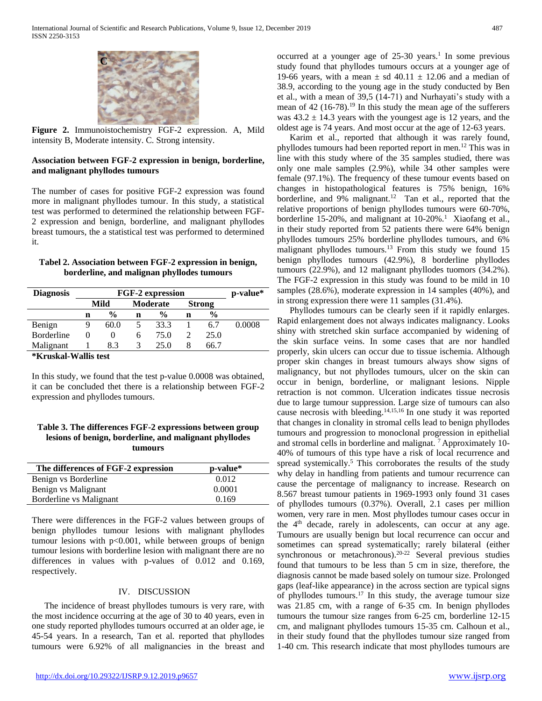

**Figure 2.** Immunoistochemistry FGF-2 expression. A, Mild intensity B, Moderate intensity. C. Strong intensity.

## **Association between FGF-2 expression in benign, borderline, and malignant phyllodes tumours**

The number of cases for positive FGF-2 expression was found more in malignant phyllodes tumour. In this study, a statistical test was performed to determined the relationship between FGF-2 expression and benign, borderline, and malignant phyllodes breast tumours, the a statistical test was performed to determined it.

| Tabel 2. Association between FGF-2 expression in benign, |  |  |
|----------------------------------------------------------|--|--|
| borderline, and malignan phyllodes tumours               |  |  |

| <b>Diagnosis</b>      | <b>FGF-2 expression</b> |               |          |               |               | p-value*      |        |
|-----------------------|-------------------------|---------------|----------|---------------|---------------|---------------|--------|
|                       | Mild                    |               | Moderate |               | <b>Strong</b> |               |        |
|                       | n                       | $\frac{6}{9}$ | n        | $\frac{0}{0}$ | n             | $\frac{6}{9}$ |        |
| Benign                | 9                       | 60.0          |          | 33.3          |               | 6.7           | 0.0008 |
| <b>Borderline</b>     | 0                       | 0             | 6        | 75.0          | 2             | 25.0          |        |
| Malignant             |                         | 8.3           | 3        | 25.0          | 8             | 66.7          |        |
| *Kruckal. Wallic test |                         |               |          |               |               |               |        |

**\*Kruskal-Wallis test**

In this study, we found that the test p-value 0.0008 was obtained, it can be concluded thet there is a relationship between FGF-2 expression and phyllodes tumours.

## **Table 3. The differences FGF-2 expressions between group lesions of benign, borderline, and malignant phyllodes tumours**

| p-value* |
|----------|
| 0.012    |
| 0.0001   |
| 0.169    |
|          |

There were differences in the FGF-2 values between groups of benign phyllodes tumour lesions with malignant phyllodes tumour lesions with  $p<0.001$ , while between groups of benign tumour lesions with borderline lesion with malignant there are no differences in values with p-values of 0.012 and 0.169, respectively.

## IV. DISCUSSION

The incidence of breast phyllodes tumours is very rare, with the most incidence occurring at the age of 30 to 40 years, even in one study reported phyllodes tumours occurred at an older age, ie 45-54 years. In a research, Tan et al. reported that phyllodes tumours were 6.92% of all malignancies in the breast and

occurred at a younger age of  $25-30$  years.<sup>1</sup> In some previous study found that phyllodes tumours occurs at a younger age of 19-66 years, with a mean  $\pm$  sd 40.11  $\pm$  12.06 and a median of 38.9, according to the young age in the study conducted by Ben et al., with a mean of 39,5 (14-71) and Nurhayati's study with a mean of 42 (16-78).<sup>19</sup> In this study the mean age of the sufferers was  $43.2 \pm 14.3$  years with the youngest age is 12 years, and the oldest age is 74 years. And most occur at the age of 12-63 years.

Karim et al., reported that although it was rarely found, phyllodes tumours had been reported report in men.<sup>12</sup> This was in line with this study where of the 35 samples studied, there was only one male samples (2.9%), while 34 other samples were female (97.1%). The frequency of these tumour events based on changes in histopathological features is 75% benign, 16% borderline, and  $9\%$  malignant.<sup>12</sup> Tan et al., reported that the relative proportions of benign phyllodes tumours were 60-70%, borderline 15-20%, and malignant at  $10{\text -}20\%$ .<sup>1</sup> Xiaofang et al., in their study reported from 52 patients there were 64% benign phyllodes tumours 25% borderline phyllodes tumours, and 6% malignant phyllodes tumours.<sup>13</sup> From this study we found  $15$ benign phyllodes tumours (42.9%), 8 borderline phyllodes tumours (22.9%), and 12 malignant phyllodes tuomors (34.2%). The FGF-2 expression in this study was found to be mild in 10 samples (28.6%), moderate expression in 14 samples (40%), and in strong expression there were 11 samples (31.4%).

Phyllodes tumours can be clearly seen if it rapidly enlarges. Rapid enlargement does not always indicates malignancy. Looks shiny with stretched skin surface accompanied by widening of the skin surface veins. In some cases that are nor handled properly, skin ulcers can occur due to tissue ischemia. Although proper skin changes in breast tumours always show signs of malignancy, but not phyllodes tumours, ulcer on the skin can occur in benign, borderline, or malignant lesions. Nipple retraction is not common. Ulceration indicates tissue necrosis due to large tumour suppression. Large size of tumours can also cause necrosis with bleeding. 14,15,16 In one study it was reported that changes in clonality in stromal cells lead to benign phyllodes tumours and progression to monoclonal progression in epithelial and stromal cells in borderline and malignat.<sup>7</sup> Approximately 10-40% of tumours of this type have a risk of local recurrence and spread systemically.<sup>5</sup> This corroborates the results of the study why delay in handling from patients and tumour recurrence can cause the percentage of malignancy to increase. Research on 8.567 breast tumour patients in 1969-1993 only found 31 cases of phyllodes tumours (0.37%). Overall, 2.1 cases per million women, very rare in men. Most phyllodes tumour cases occur in the 4<sup>th</sup> decade, rarely in adolescents, can occur at any age. Tumours are usually benign but local recurrence can occur and sometimes can spread systematically; rarely bilateral (either synchronous or metachronous).<sup>20-22</sup> Several previous studies found that tumours to be less than 5 cm in size, therefore, the diagnosis cannot be made based solely on tumour size. Prolonged gaps (leaf-like appearance) in the across section are typical signs of phyllodes tumours.<sup>17</sup> In this study, the average tumour size was 21.85 cm, with a range of 6-35 cm. In benign phyllodes tumours the tumour size ranges from 6-25 cm, borderline 12-15 cm, and malignant phyllodes tumours 15-35 cm. Calhoun et al., in their study found that the phyllodes tumour size ranged from 1-40 cm. This research indicate that most phyllodes tumours are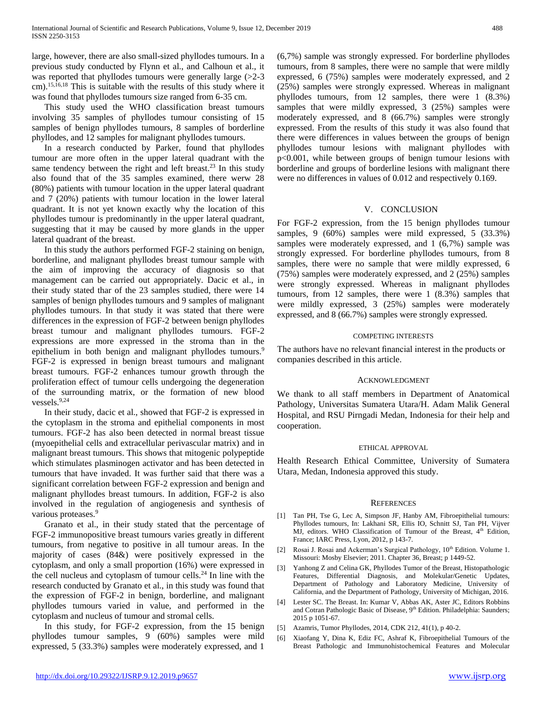large, however, there are also small-sized phyllodes tumours. In a previous study conducted by Flynn et al., and Calhoun et al., it was reported that phyllodes tumours were generally large (>2-3 cm).15,16,18 This is suitable with the results of this study where it was found that phyllodes tumours size ranged from 6-35 cm.

This study used the WHO classification breast tumours involving 35 samples of phyllodes tumour consisting of 15 samples of benign phyllodes tumours, 8 samples of borderline phyllodes, and 12 samples for malignant phyllodes tumours.

In a research conducted by Parker, found that phyllodes tumour are more often in the upper lateral quadrant with the same tendency between the right and left breast.<sup>23</sup> In this study also found that of the 35 samples examined, there werw 28 (80%) patients with tumour location in the upper lateral quadrant and 7 (20%) patients with tumour location in the lower lateral quadrant. It is not yet known exactly why the location of this phyllodes tumour is predominantly in the upper lateral quadrant, suggesting that it may be caused by more glands in the upper lateral quadrant of the breast.

In this study the authors performed FGF-2 staining on benign, borderline, and malignant phyllodes breast tumour sample with the aim of improving the accuracy of diagnosis so that management can be carried out appropriately. Dacic et al., in their study stated thar of the 23 samples studied, there were 14 samples of benign phyllodes tumours and 9 samples of malignant phyllodes tumours. In that study it was stated that there were differences in the expression of FGF-2 between benign phyllodes breast tumour and malignant phyllodes tumours. FGF-2 expressions are more expressed in the stroma than in the epithelium in both benign and malignant phyllodes tumours.<sup>9</sup> FGF-2 is expressed in benign breast tumours and malignant breast tumours. FGF-2 enhances tumour growth through the proliferation effect of tumour cells undergoing the degeneration of the surrounding matrix, or the formation of new blood vessels. $9,24$ 

In their study, dacic et al., showed that FGF-2 is expressed in the cytoplasm in the stroma and epithelial components in most tumours. FGF-2 has also been detected in normal breast tissue (myoepithelial cells and extracellular perivascular matrix) and in malignant breast tumours. This shows that mitogenic polypeptide which stimulates plasminogen activator and has been detected in tumours that have invaded. It was further said that there was a significant correlation between FGF-2 expression and benign and malignant phyllodes breast tumours. In addition, FGF-2 is also involved in the regulation of angiogenesis and synthesis of various proteases.<sup>9</sup>

Granato et al., in their study stated that the percentage of FGF-2 immunopositive breast tumours varies greatly in different tumours, from negative to positive in all tumour areas. In the majority of cases (84&) were positively expressed in the cytoplasm, and only a small proportion (16%) were expressed in the cell nucleus and cytoplasm of tumour cells.<sup>24</sup> In line with the research conducted by Granato et al., in this study was found that the expression of FGF-2 in benign, borderline, and malignant phyllodes tumours varied in value, and performed in the cytoplasm and nucleus of tumour and stromal cells.

In this study, for FGF-2 expression, from the 15 benign phyllodes tumour samples, 9 (60%) samples were mild expressed, 5 (33.3%) samples were moderately expressed, and 1

(6,7%) sample was strongly expressed. For borderline phyllodes tumours, from 8 samples, there were no sample that were mildly expressed, 6 (75%) samples were moderately expressed, and 2 (25%) samples were strongly expressed. Whereas in malignant phyllodes tumours, from 12 samples, there were 1 (8.3%) samples that were mildly expressed, 3 (25%) samples were moderately expressed, and 8 (66.7%) samples were strongly expressed. From the results of this study it was also found that there were differences in values between the groups of benign phyllodes tumour lesions with malignant phyllodes with p<0.001, while between groups of benign tumour lesions with borderline and groups of borderline lesions with malignant there were no differences in values of 0.012 and respectively 0.169.

## V. CONCLUSION

For FGF-2 expression, from the 15 benign phyllodes tumour samples, 9 (60%) samples were mild expressed, 5 (33.3%) samples were moderately expressed, and 1 (6,7%) sample was strongly expressed. For borderline phyllodes tumours, from 8 samples, there were no sample that were mildly expressed, 6 (75%) samples were moderately expressed, and 2 (25%) samples were strongly expressed. Whereas in malignant phyllodes tumours, from 12 samples, there were 1 (8.3%) samples that were mildly expressed, 3 (25%) samples were moderately expressed, and 8 (66.7%) samples were strongly expressed.

## COMPETING INTERESTS

The authors have no relevant financial interest in the products or companies described in this article.

## ACKNOWLEDGMENT

We thank to all staff members in Department of Anatomical Pathology, Universitas Sumatera Utara/H. Adam Malik General Hospital, and RSU Pirngadi Medan, Indonesia for their help and cooperation.

## ETHICAL APPROVAL

Health Research Ethical Committee, University of Sumatera Utara, Medan, Indonesia approved this study.

## **REFERENCES**

- [1] Tan PH, Tse G, Lec A, Simpson JF, Hanby AM, Fibroepithelial tumours: Phyllodes tumours, In: Lakhani SR, Ellis IO, Schnitt SJ, Tan PH, Vijver MJ, editors. WHO Classification of Tumour of the Breast, 4<sup>th</sup> Edition, France; IARC Press, Lyon, 2012, p 143-7.
- [2] Rosai J. Rosai and Ackerman's Surgical Pathology,  $10^{th}$  Edition. Volume 1. Missouri: Mosby Elsevier; 2011. Chapter 36, Breast; p 1449-52.
- [3] Yanhong Z and Celina GK, Phyllodes Tumor of the Breast, Histopathologic Features, Differential Diagnosis, and Molekular/Genetic Updates, Department of Pathology and Laboratory Medicine, University of California, and the Department of Pathology, University of Michigan, 2016.
- [4] Lester SC. The Breast. In: Kumar V, Abbas AK, Aster JC, Editors Robbins and Cotran Pathologic Basic of Disease, 9<sup>th</sup> Edition. Philadelphia: Saunders; 2015 p 1051-67.
- [5] Azamris, Tumor Phyllodes, 2014, CDK 212, 41(1), p 40-2.
- [6] Xiaofang Y, Dina K, Ediz FC, Ashraf K, Fibroepithelial Tumours of the Breast Pathologic and Immunohistochemical Features and Molecular